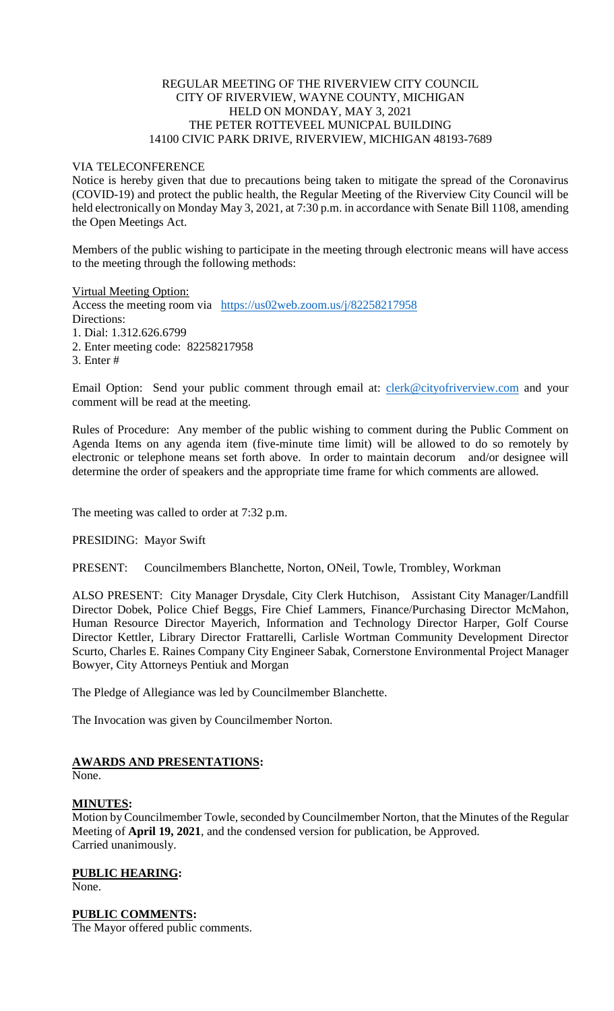# REGULAR MEETING OF THE RIVERVIEW CITY COUNCIL CITY OF RIVERVIEW, WAYNE COUNTY, MICHIGAN HELD ON MONDAY, MAY 3, 2021 THE PETER ROTTEVEEL MUNICPAL BUILDING 14100 CIVIC PARK DRIVE, RIVERVIEW, MICHIGAN 48193-7689

### VIA TELECONFERENCE

Notice is hereby given that due to precautions being taken to mitigate the spread of the Coronavirus (COVID-19) and protect the public health, the Regular Meeting of the Riverview City Council will be held electronically on Monday May 3, 2021, at 7:30 p.m. in accordance with Senate Bill 1108, amending the Open Meetings Act.

Members of the public wishing to participate in the meeting through electronic means will have access to the meeting through the following methods:

Virtual Meeting Option:

Access the meeting room via [https://us02web.zoom.us/j/82258217958](https://www.google.com/url?q=https%3A%2F%2Fus02web.zoom.us%2Fj%2F82258217958&sa=D&ust=1620150069493000&usg=AOvVaw0282_ePOxh3y6LsRrwSS7h) Directions: 1. Dial: 1.312.626.6799 2. Enter meeting code: 82258217958

- 
- 3. Enter #

Email Option: Send your public comment through email at: [clerk@cityofriverview.com](mailto:clerk@cityofriverview.com) and your comment will be read at the meeting.

Rules of Procedure: Any member of the public wishing to comment during the Public Comment on Agenda Items on any agenda item (five-minute time limit) will be allowed to do so remotely by electronic or telephone means set forth above. In order to maintain decorum and/or designee will determine the order of speakers and the appropriate time frame for which comments are allowed.

The meeting was called to order at 7:32 p.m.

### PRESIDING: Mayor Swift

PRESENT: Councilmembers Blanchette, Norton, ONeil, Towle, Trombley, Workman

ALSO PRESENT: City Manager Drysdale, City Clerk Hutchison, Assistant City Manager/Landfill Director Dobek, Police Chief Beggs, Fire Chief Lammers, Finance/Purchasing Director McMahon, Human Resource Director Mayerich, Information and Technology Director Harper, Golf Course Director Kettler, Library Director Frattarelli, Carlisle Wortman Community Development Director Scurto, Charles E. Raines Company City Engineer Sabak, Cornerstone Environmental Project Manager Bowyer, City Attorneys Pentiuk and Morgan

The Pledge of Allegiance was led by Councilmember Blanchette.

The Invocation was given by Councilmember Norton.

# **AWARDS AND PRESENTATIONS:**

None.

# **MINUTES:**

Motion by Councilmember Towle, seconded by Councilmember Norton, that the Minutes of the Regular Meeting of **April 19, 2021**, and the condensed version for publication, be Approved. Carried unanimously.

**PUBLIC HEARING:** None.

# **PUBLIC COMMENTS:**

The Mayor offered public comments.